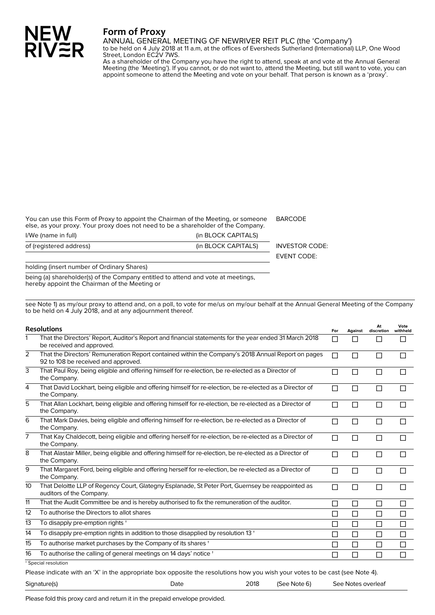## **Form of Proxy**

ANNUAL GENERAL MEETING OF NEWRIVER REIT PLC (the 'Company')

to be held on 4 July 2018 at 11 a.m, at the offices of Eversheds Sutherland (International) LLP, One Wood Street, London EC2V 7WS.

As a shareholder of the Company you have the right to attend, speak at and vote at the Annual General Meeting (the 'Meeting'). If you cannot, or do not want to, attend the Meeting, but still want to vote, you can appoint someone to attend the Meeting and vote on your behalf. That person is known as a 'proxy'.

You can use this Form of Proxy to appoint the Chairman of the Meeting, or someone else, as your proxy. Your proxy does not need to be a shareholder of the Company. BARCODE

I/We (name in full) and the contract of the contract of the contract (in BLOCK CAPITALS) of (registered address) (in BLOCK CAPITALS) INVESTOR CODE: EVENT CODE:

holding (insert number of Ordinary Shares)

NEW<br>RIV≋R

being (a) shareholder(s) of the Company entitled to attend and vote at meetings, hereby appoint the Chairman of the Meeting or

see Note 1) as my/our proxy to attend and, on a poll, to vote for me/us on my/our behalf at the Annual General Meeting of the Company to be held on 4 July 2018, and at any adjournment thereof.

| <b>Resolutions</b> |                                                                                                                                           |        | Against | At<br>discretion | Vote<br>withheld |
|--------------------|-------------------------------------------------------------------------------------------------------------------------------------------|--------|---------|------------------|------------------|
| $\mathbf 1$        | That the Directors' Report, Auditor's Report and financial statements for the year ended 31 March 2018<br>be received and approved.       | П      | П       | П                | П                |
| $\overline{2}$     | That the Directors' Remuneration Report contained within the Company's 2018 Annual Report on pages<br>92 to 108 be received and approved. | П      | П       | П                | П                |
| 3                  | That Paul Roy, being eligible and offering himself for re-election, be re-elected as a Director of<br>the Company.                        | $\Box$ | $\Box$  | $\Box$           | П                |
| 4                  | That David Lockhart, being eligible and offering himself for re-election, be re-elected as a Director of<br>the Company.                  | $\Box$ | П       | П                | П                |
| 5                  | That Allan Lockhart, being eligible and offering himself for re-election, be re-elected as a Director of<br>the Company.                  | П      | $\Box$  | $\Box$           | П                |
| 6                  | That Mark Davies, being eligible and offering himself for re-election, be re-elected as a Director of<br>the Company.                     | П      | П       | П                | П                |
| 7                  | That Kay Chaldecott, being eligible and offering herself for re-election, be re-elected as a Director of<br>the Company.                  | П      | П       | $\Box$           | П                |
| 8                  | That Alastair Miller, being eligible and offering himself for re-election, be re-elected as a Director of<br>the Company.                 | П      | П       | П                | П                |
| 9                  | That Margaret Ford, being eligible and offering herself for re-election, be re-elected as a Director of<br>the Company.                   | П      | П       | $\Box$           | П                |
| 10                 | That Deloitte LLP of Regency Court, Glategny Esplanade, St Peter Port, Guernsey be reappointed as<br>auditors of the Company.             | $\Box$ | П       | $\Box$           | П                |
| 11                 | That the Audit Committee be and is hereby authorised to fix the remuneration of the auditor.                                              | П      | П       | $\Box$           | □                |
| 12                 | To authorise the Directors to allot shares                                                                                                | П      | П       | $\Box$           | □                |
| 13                 | To disapply pre-emption rights +                                                                                                          | □      | □       | $\Box$           | $\Box$           |
| 14                 | To disapply pre-emption rights in addition to those disapplied by resolution 13 <sup>+</sup>                                              | П      | $\Box$  | $\Box$           | $\Box$           |
| 15                 | To authorise market purchases by the Company of its shares +                                                                              | П      | П       | $\Box$           | $\Box$           |
| 16                 | To authorise the calling of general meetings on 14 days' notice +                                                                         | П      | П       | П                | $\Box$           |
|                    | <sup>*</sup> Special resolution                                                                                                           |        |         |                  |                  |

Please indicate with an 'X' in the appropriate box opposite the resolutions how you wish your votes to be cast (see Note 4).

| Signature(s) |      | 2018 | (See Note 6) | See Notes overleaf |
|--------------|------|------|--------------|--------------------|
|              | Date |      |              |                    |
|              |      |      |              |                    |

Please fold this proxy card and return it in the prepaid envelope provided.